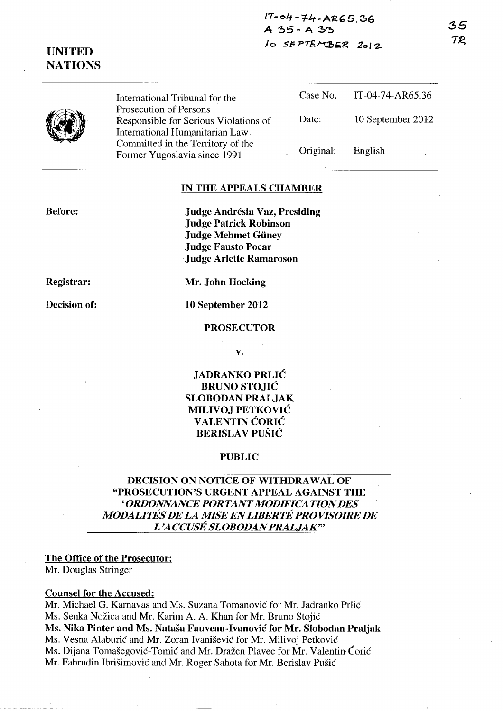**17- 04 - +4 -A1l. b 5.** ~G  $A 35 - A 33$ **10** *SEPTE,M.2:Jl:::.1l. 20/'2-*

# **UNITED NATIONS**

International Tribunal for the Prosecution of Persons Responsible for Serious Violations of International Humanitarian Law Committed in the Territory of the Former Yugoslavia since 1991 Case No. Date: Original: IT -04-74-AR65.36 10 September 2012 English

## **IN THE APPEALS CHAMBER**

**Judge Andresia Vaz, Presiding Judge Patrick Robinson Judge Mehmet Giiney Judge Fausto Pocar Judge Arlette Ramaroson** 

**Registrar:** 

**Decision of:** 

**Mr. John Hocking** 

**10 September 2012** 

### **PROSECUTOR**

**v.** 

**JADRANKO PRLIC BRUNO STOJIC SLOBODAN PRALJAK MILIVOJ PETKOVIC V ALENTIN CORIC BERISLA V PUSIC** 

## **PUBLIC**

## **DECISION ON NOTICE OF WITHDRAWAL OF "PROSECUTION'S URGENT APPEAL AGAINST THE**  *'ORDONNANCE PORTANT MODIFICATION DES MODALITES DE LA MISE EN LIBERTE PROVISOIRE DE L 'ACCUSE SLOBODAN PRALJAK'"*

## **The Office of the Prosecutor:**

Mr. Douglas Stringer

## **Counsel for the Accused:**

Mr. Michael G. Karnavas and Ms. Suzana Tomanović for Mr. Jadranko Prlić Ms. Senka Nožica and Mr. Karim A. A. Khan for Mr. Bruno Stojić **Ms. Nika Pinter and Ms. Natasa Fauveau-Ivanovic for Mr. Slobodan Praljak**  Ms. Vesna Alaburić and Mr. Zoran Ivanišević for Mr. Milivoj Petković Ms. Dijana Tomašegović-Tomić and Mr. Dražen Plavec for Mr. Valentin Ćorić Mr. Fahrudin Ibrišimović and Mr. Roger Sahota for Mr. Berislav Pušić

35 TR



**Before:**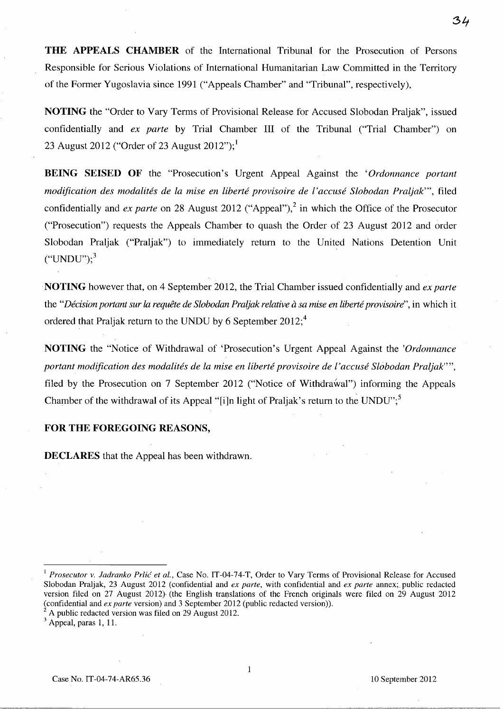**THE APPEALS CHAMBER** of the International Tribunal for the Prosecution of Persons Responsible for Serious Violations of International Humanitarian Law Committed in the Territory of the Former Yugoslavia since 1991 ("Appeals Chamber" and "Tribunal", respectively),

**NOTING** the "Order to Vary Terms of Provisional Release for Accused Slobodan Praljak", issued confidentially and *ex parte* by Trial Chamber **III** of the Tribunal ("Trial Chamber") on 23 August 2012 ("Order of 23 August 2012");<sup>1</sup>

**BEING SEISED OF** the "Prosecution's Urgent Appeal Against the *'Ordonnance portant modification des modalités de la mise en liberté provisoire de l'accusé Slobodan Praljak"'*, filed confidentially and *ex parte* on 28 August 2012 ("Appeal"),<sup>2</sup> in which the Office of the Prosecutor ("Prosecution") requests the Appeals Chamber to quash the Order of 23 August 2012 and order Slobodan Praljak ("Praljak") to immediately return to the United Nations Detention Unit  $("UNDU$ ");<sup>3</sup>

**NOTING** however that, on 4 September 2012, the Trial Chamber issued confidentially and *ex parte*  the *"Decision portant sur la requete de Slobodan Praljak relative a sa mise en liberte provisoire",* in which it ordered that Praljak return to the UNDU by 6 September  $2012$ ;<sup>4</sup>

**NOTING** the "Notice of Withdrawal of 'Prosecution's Urgent Appeal Against the *'Ordonnance portant modification des modalités de la mise en liberté provisoire de l'accusé Slobodan Praljak""*, filed by the Prosecution on 7 September 2012 ("Notice of Withdrawal") informing the Appeals Chamber of the withdrawal of its Appeal "[i]n light of Praljak's return to the UNDU";<sup>5</sup>

## **FOR THE FOREGOING REASONS,**

**DECLARES** that the Appeal has been withdrawn.

34

<sup>I</sup>*Prosecutor v. ladranko Prlic et aI.,* Case No. IT-04-74-T, Order to Vary Terms of Provisional Release for Accused Slobodan PraIjak, 23 August 2012 (confidential and *ex parte,* with confidential and *ex parte* annex; public redacted version filed on 27 August 2012) (the English translations of the French originals were filed on 29 August 2012 (confidential and *ex parte* version) and 3 September 2012 (public redacted version)).

<sup>2</sup> A public redacted version was filed on 29 August 2012.

 $3$  Appeal, paras 1, 11.